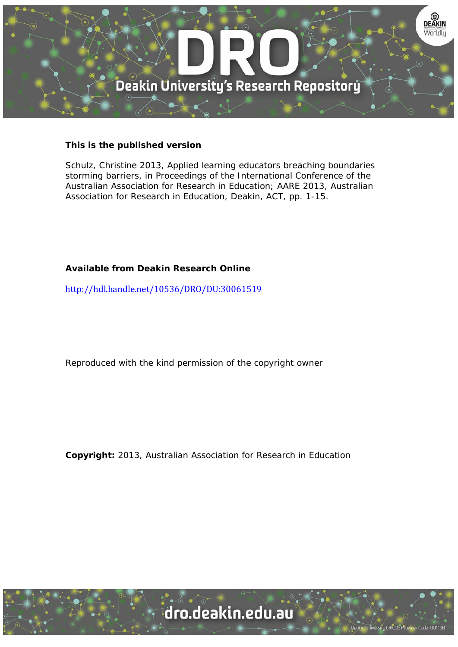

#### **This is the published version**

Schulz, Christine 2013, Applied learning educators breaching boundaries storming barriers, in Proceedings of the International Conference of the Australian Association for Research in Education; AARE 2013, Australian Association for Research in Education, Deakin, ACT, pp. 1-15.

## **Available from Deakin Research Online**

http://hdl.handle.net/10536/DRO/DU:30061519

Reproduced with the kind permission of the copyright owner

**Copyright:** 2013, Australian Association for Research in Education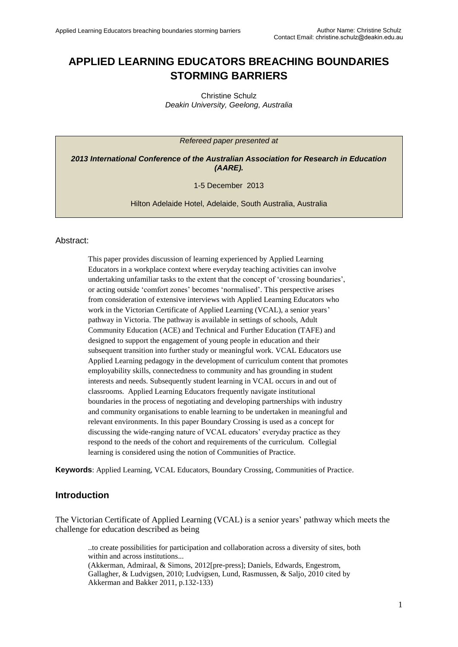# **APPLIED LEARNING EDUCATORS BREACHING BOUNDARIES STORMING BARRIERS**

Christine Schulz *Deakin University, Geelong, Australia* 

*Refereed paper presented at*

*2013 International Conference of the Australian Association for Research in Education (AARE).*

1-5 December 2013

Hilton Adelaide Hotel, Adelaide, South Australia, Australia

#### Abstract:

This paper provides discussion of learning experienced by Applied Learning Educators in a workplace context where everyday teaching activities can involve undertaking unfamiliar tasks to the extent that the concept of 'crossing boundaries', or acting outside 'comfort zones' becomes 'normalised'. This perspective arises from consideration of extensive interviews with Applied Learning Educators who work in the Victorian Certificate of Applied Learning (VCAL), a senior years' pathway in Victoria. The pathway is available in settings of schools, Adult Community Education (ACE) and Technical and Further Education (TAFE) and designed to support the engagement of young people in education and their subsequent transition into further study or meaningful work. VCAL Educators use Applied Learning pedagogy in the development of curriculum content that promotes employability skills, connectedness to community and has grounding in student interests and needs. Subsequently student learning in VCAL occurs in and out of classrooms. Applied Learning Educators frequently navigate institutional boundaries in the process of negotiating and developing partnerships with industry and community organisations to enable learning to be undertaken in meaningful and relevant environments. In this paper Boundary Crossing is used as a concept for discussing the wide-ranging nature of VCAL educators' everyday practice as they respond to the needs of the cohort and requirements of the curriculum. Collegial learning is considered using the notion of Communities of Practice.

**Keywords**: Applied Learning, VCAL Educators, Boundary Crossing, Communities of Practice.

#### **Introduction**

The Victorian Certificate of Applied Learning (VCAL) is a senior years' pathway which meets the challenge for education described as being

..to create possibilities for participation and collaboration across a diversity of sites, both within and across institutions...

(Akkerman, Admiraal, & Simons, 2012[pre-press]; Daniels, Edwards, Engestrom, Gallagher, & Ludvigsen, 2010; Ludvigsen, Lund, Rasmussen, & Saljo, 2010 cited by Akkerman and Bakker 2011, p.132-133)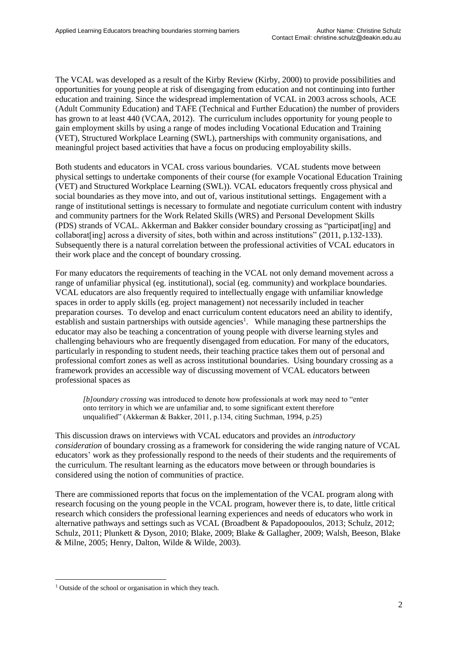The VCAL was developed as a result of the Kirby Review (Kirby, 2000) to provide possibilities and opportunities for young people at risk of disengaging from education and not continuing into further education and training. Since the widespread implementation of VCAL in 2003 across schools, ACE (Adult Community Education) and TAFE (Technical and Further Education) the number of providers has grown to at least 440 (VCAA, 2012). The curriculum includes opportunity for young people to gain employment skills by using a range of modes including Vocational Education and Training (VET), Structured Workplace Learning (SWL), partnerships with community organisations, and meaningful project based activities that have a focus on producing employability skills.

Both students and educators in VCAL cross various boundaries. VCAL students move between physical settings to undertake components of their course (for example Vocational Education Training (VET) and Structured Workplace Learning (SWL)). VCAL educators frequently cross physical and social boundaries as they move into, and out of, various institutional settings. Engagement with a range of institutional settings is necessary to formulate and negotiate curriculum content with industry and community partners for the Work Related Skills (WRS) and Personal Development Skills (PDS) strands of VCAL. Akkerman and Bakker consider boundary crossing as "participat[ing] and collaborat[ing] across a diversity of sites, both within and across institutions" (2011, p.132-133). Subsequently there is a natural correlation between the professional activities of VCAL educators in their work place and the concept of boundary crossing.

For many educators the requirements of teaching in the VCAL not only demand movement across a range of unfamiliar physical (eg. institutional), social (eg. community) and workplace boundaries. VCAL educators are also frequently required to intellectually engage with unfamiliar knowledge spaces in order to apply skills (eg. project management) not necessarily included in teacher preparation courses. To develop and enact curriculum content educators need an ability to identify, establish and sustain partnerships with outside agencies<sup>1</sup>. While managing these partnerships the educator may also be teaching a concentration of young people with diverse learning styles and challenging behaviours who are frequently disengaged from education. For many of the educators, particularly in responding to student needs, their teaching practice takes them out of personal and professional comfort zones as well as across institutional boundaries. Using boundary crossing as a framework provides an accessible way of discussing movement of VCAL educators between professional spaces as

*[b]oundary crossing* was introduced to denote how professionals at work may need to "enter onto territory in which we are unfamiliar and, to some significant extent therefore unqualified" (Akkerman & Bakker, 2011, p.134, citing Suchman, 1994, p.25)

This discussion draws on interviews with VCAL educators and provides an *introductory consideration* of boundary crossing as a framework for considering the wide ranging nature of VCAL educators' work as they professionally respond to the needs of their students and the requirements of the curriculum. The resultant learning as the educators move between or through boundaries is considered using the notion of communities of practice.

There are commissioned reports that focus on the implementation of the VCAL program along with research focusing on the young people in the VCAL program, however there is, to date, little critical research which considers the professional learning experiences and needs of educators who work in alternative pathways and settings such as VCAL (Broadbent & Papadopooulos, 2013; Schulz, 2012; Schulz, 2011; Plunkett & Dyson, 2010; Blake, 2009; Blake & Gallagher, 2009; Walsh, Beeson, Blake & Milne, 2005; Henry, Dalton, Wilde & Wilde, 2003).

<sup>&</sup>lt;sup>1</sup> Outside of the school or organisation in which they teach.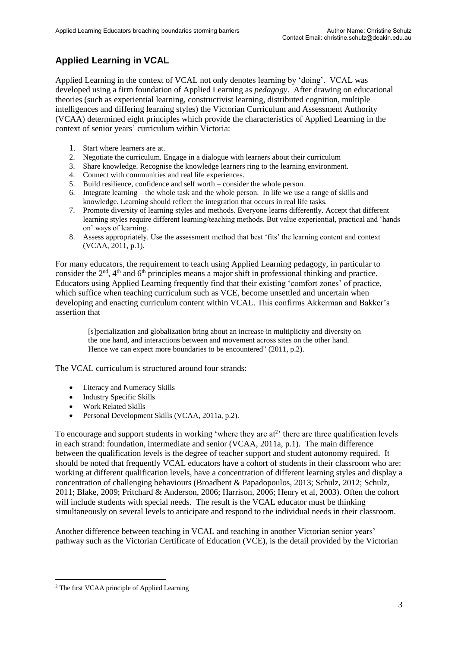# **Applied Learning in VCAL**

Applied Learning in the context of VCAL not only denotes learning by 'doing'. VCAL was developed using a firm foundation of Applied Learning as *pedagogy*. After drawing on educational theories (such as experiential learning, constructivist learning, distributed cognition, multiple intelligences and differing learning styles) the Victorian Curriculum and Assessment Authority (VCAA) determined eight principles which provide the characteristics of Applied Learning in the context of senior years' curriculum within Victoria:

- 1. Start where learners are at.
- 2. Negotiate the curriculum. Engage in a dialogue with learners about their curriculum
- 3. Share knowledge. Recognise the knowledge learners ring to the learning environment.
- 4. Connect with communities and real life experiences.
- 5. Build resilience, confidence and self worth consider the whole person.
- 6. Integrate learning the whole task and the whole person. In life we use a range of skills and knowledge. Learning should reflect the integration that occurs in real life tasks.
- 7. Promote diversity of learning styles and methods. Everyone learns differently. Accept that different learning styles require different learning/teaching methods. But value experiential, practical and 'hands on' ways of learning.
- 8. Assess appropriately. Use the assessment method that best 'fits' the learning content and context (VCAA, 2011, p.1).

For many educators, the requirement to teach using Applied Learning pedagogy, in particular to consider the  $2<sup>nd</sup>$ ,  $4<sup>th</sup>$  and  $6<sup>th</sup>$  principles means a major shift in professional thinking and practice. Educators using Applied Learning frequently find that their existing 'comfort zones' of practice, which suffice when teaching curriculum such as VCE, become unsettled and uncertain when developing and enacting curriculum content within VCAL. This confirms Akkerman and Bakker's assertion that

[s]pecialization and globalization bring about an increase in multiplicity and diversity on the one hand, and interactions between and movement across sites on the other hand. Hence we can expect more boundaries to be encountered" (2011, p.2).

The VCAL curriculum is structured around four strands:

- Literacy and Numeracy Skills
- Industry Specific Skills
- Work Related Skills
- Personal Development Skills (VCAA, 2011a, p.2).

To encourage and support students in working 'where they are at<sup>2</sup>' there are three qualification levels in each strand: foundation, intermediate and senior (VCAA, 2011a, p.1). The main difference between the qualification levels is the degree of teacher support and student autonomy required. It should be noted that frequently VCAL educators have a cohort of students in their classroom who are: working at different qualification levels, have a concentration of different learning styles and display a concentration of challenging behaviours (Broadbent & Papadopoulos, 2013; Schulz, 2012; Schulz, 2011; Blake, 2009; Pritchard & Anderson, 2006; Harrison, 2006; Henry et al, 2003). Often the cohort will include students with special needs. The result is the VCAL educator must be thinking simultaneously on several levels to anticipate and respond to the individual needs in their classroom.

Another difference between teaching in VCAL and teaching in another Victorian senior years' pathway such as the Victorian Certificate of Education (VCE), is the detail provided by the Victorian

<sup>2</sup> The first VCAA principle of Applied Learning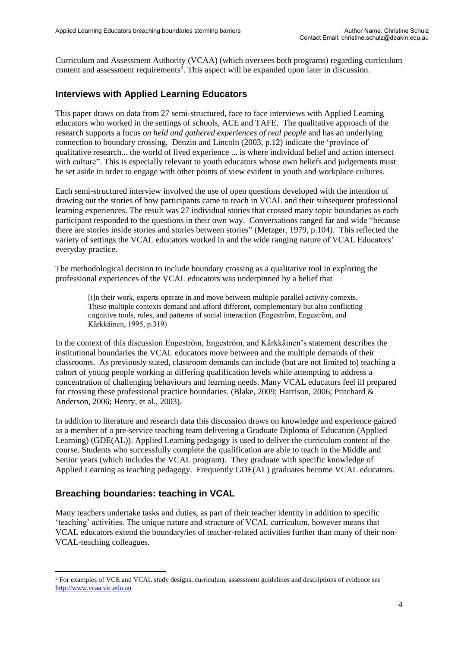Curriculum and Assessment Authority (VCAA) (which oversees both programs) regarding curriculum content and assessment requirements<sup>3</sup>. This aspect will be expanded upon later in discussion.

#### **Interviews with Applied Learning Educators**

This paper draws on data from 27 semi-structured, face to face interviews with Applied Learning educators who worked in the settings of schools, ACE and TAFE. The qualitative approach of the research supports a focus *on held and gathered experiences of real people* and has an underlying connection to boundary crossing. Denzin and Lincoln (2003, p.12) indicate the 'province of qualitative research... the world of lived experience ... is where individual belief and action intersect with culture". This is especially relevant to youth educators whose own beliefs and judgements must be set aside in order to engage with other points of view evident in youth and workplace cultures.

Each semi-structured interview involved the use of open questions developed with the intention of drawing out the stories of how participants came to teach in VCAL and their subsequent professional learning experiences. The result was 27 individual stories that crossed many topic boundaries as each participant responded to the questions in their own way. Conversations ranged far and wide "because there are stories inside stories and stories between stories" (Metzger, 1979, p.104). This reflected the variety of settings the VCAL educators worked in and the wide ranging nature of VCAL Educators' everyday practice.

The methodological decision to include boundary crossing as a qualitative tool in exploring the professional experiences of the VCAL educators was underpinned by a belief that

> [i]n their work, experts operate in and move between multiple parallel activity contexts. These multiple contexts demand and afford different, complementary but also conflicting cognitive tools, rules, and patterns of social interaction (Engestrom, Engestrom, and Kȁrkkȁinen, 1995, p.319)

In the context of this discussion Engestrom, Engestrom, and Kärkkäinen's statement describes the institutional boundaries the VCAL educators move between and the multiple demands of their classrooms. As previously stated, classroom demands can include (but are not limited to) teaching a cohort of young people working at differing qualification levels while attempting to address a concentration of challenging behaviours and learning needs. Many VCAL educators feel ill prepared for crossing these professional practice boundaries. (Blake, 2009; Harrison, 2006; Pritchard & Anderson, 2006; Henry, et al., 2003).

In addition to literature and research data this discussion draws on knowledge and experience gained as a member of a pre-service teaching team delivering a Graduate Diploma of Education (Applied Learning) (GDE(AL)). Applied Learning pedagogy is used to deliver the curriculum content of the course. Students who successfully complete the qualification are able to teach in the Middle and Senior years (which includes the VCAL program). They graduate with specific knowledge of Applied Learning as teaching pedagogy. Frequently GDE(AL) graduates become VCAL educators.

#### **Breaching boundaries: teaching in VCAL**

Many teachers undertake tasks and duties, as part of their teacher identity in addition to specific 'teaching' activities. The unique nature and structure of VCAL curriculum, however means that VCAL educators extend the boundary/ies of teacher-related activities further than many of their non-VCAL-teaching colleagues.

<sup>&</sup>lt;sup>3</sup> For examples of VCE and VCAL study designs, curriculum, assessment guidelines and descriptions of evidence see [http://www.vcaa.vic.edu.au](http://www.vcaa.vic.edu.au/)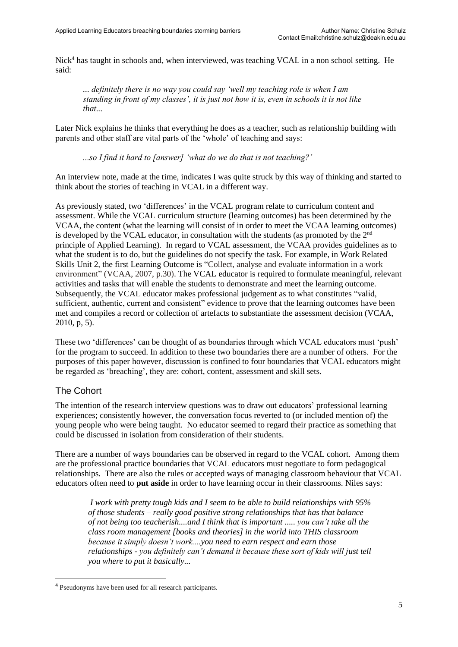Nick<sup>4</sup> has taught in schools and, when interviewed, was teaching VCAL in a non school setting. He said:

*... definitely there is no way you could say 'well my teaching role is when I am standing in front of my classes', it is just not how it is, even in schools it is not like that...* 

Later Nick explains he thinks that everything he does as a teacher, such as relationship building with parents and other staff are vital parts of the 'whole' of teaching and says:

*...so I find it hard to [answer] 'what do we do that is not teaching?'*

An interview note, made at the time, indicates I was quite struck by this way of thinking and started to think about the stories of teaching in VCAL in a different way.

As previously stated, two 'differences' in the VCAL program relate to curriculum content and assessment. While the VCAL curriculum structure (learning outcomes) has been determined by the VCAA, the content (what the learning will consist of in order to meet the VCAA learning outcomes) is developed by the VCAL educator, in consultation with the students (as promoted by the  $2<sup>nd</sup>$ principle of Applied Learning). In regard to VCAL assessment, the VCAA provides guidelines as to what the student is to do, but the guidelines do not specify the task. For example, in Work Related Skills Unit 2, the first Learning Outcome is "Collect, analyse and evaluate information in a work environment" (VCAA, 2007, p.30). The VCAL educator is required to formulate meaningful, relevant activities and tasks that will enable the students to demonstrate and meet the learning outcome. Subsequently, the VCAL educator makes professional judgement as to what constitutes "valid, sufficient, authentic, current and consistent" evidence to prove that the learning outcomes have been met and compiles a record or collection of artefacts to substantiate the assessment decision (VCAA, 2010, p, 5).

These two 'differences' can be thought of as boundaries through which VCAL educators must 'push' for the program to succeed. In addition to these two boundaries there are a number of others. For the purposes of this paper however, discussion is confined to four boundaries that VCAL educators might be regarded as 'breaching', they are: cohort, content, assessment and skill sets.

#### The Cohort

The intention of the research interview questions was to draw out educators' professional learning experiences; consistently however, the conversation focus reverted to (or included mention of) the young people who were being taught. No educator seemed to regard their practice as something that could be discussed in isolation from consideration of their students.

There are a number of ways boundaries can be observed in regard to the VCAL cohort. Among them are the professional practice boundaries that VCAL educators must negotiate to form pedagogical relationships. There are also the rules or accepted ways of managing classroom behaviour that VCAL educators often need to **put aside** in order to have learning occur in their classrooms. Niles says:

*I work with pretty tough kids and I seem to be able to build relationships with 95% of those students – really good positive strong relationships that has that balance of not being too teacherish....and I think that is important ..... you can't take all the class room management [books and theories] in the world into THIS classroom because it simply doesn't work....you need to earn respect and earn those relationships - you definitely can't demand it because these sort of kids will just tell you where to put it basically...* 

<sup>4</sup> Pseudonyms have been used for all research participants.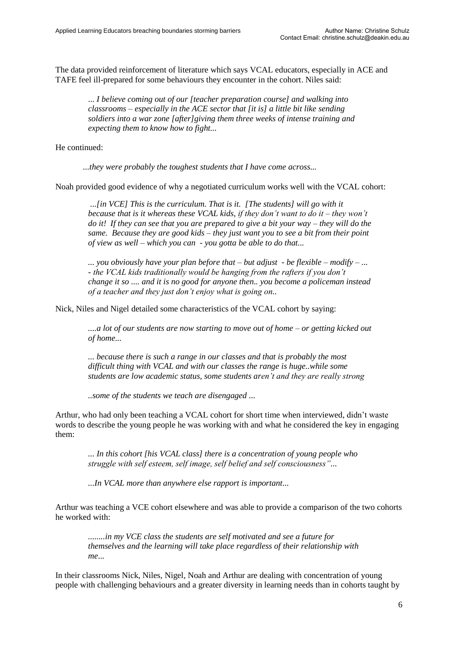The data provided reinforcement of literature which says VCAL educators, especially in ACE and TAFE feel ill-prepared for some behaviours they encounter in the cohort. Niles said:

... *I believe coming out of our [teacher preparation course] and walking into classrooms – especially in the ACE sector that [it is] a little bit like sending soldiers into a war zone [after]giving them three weeks of intense training and expecting them to know how to fight...* 

He continued:

*...they were probably the toughest students that I have come across...* 

Noah provided good evidence of why a negotiated curriculum works well with the VCAL cohort:

*...[in VCE] This is the curriculum. That is it. [The students] will go with it because that is it whereas these VCAL kids, if they don't want to do it – they won't do it! If they can see that you are prepared to give a bit your way – they will do the same. Because they are good kids – they just want you to see a bit from their point of view as well – which you can - you gotta be able to do that...* 

*... you obviously have your plan before that – but adjust - be flexible – modify – ... - the VCAL kids traditionally would be hanging from the rafters if you don't change it so .... and it is no good for anyone then.. you become a policeman instead of a teacher and they just don't enjoy what is going on..*

Nick, Niles and Nigel detailed some characteristics of the VCAL cohort by saying:

*....a lot of our students are now starting to move out of home – or getting kicked out of home...* 

*... because there is such a range in our classes and that is probably the most difficult thing with VCAL and with our classes the range is huge..while some students are low academic status, some students aren't and they are really strong*

*..some of the students we teach are disengaged ...* 

Arthur, who had only been teaching a VCAL cohort for short time when interviewed, didn't waste words to describe the young people he was working with and what he considered the key in engaging them:

*... In this cohort [his VCAL class] there is a concentration of young people who struggle with self esteem, self image, self belief and self consciousness"...* 

*...In VCAL more than anywhere else rapport is important...* 

Arthur was teaching a VCE cohort elsewhere and was able to provide a comparison of the two cohorts he worked with:

*........in my VCE class the students are self motivated and see a future for themselves and the learning will take place regardless of their relationship with me*...

In their classrooms Nick, Niles, Nigel, Noah and Arthur are dealing with concentration of young people with challenging behaviours and a greater diversity in learning needs than in cohorts taught by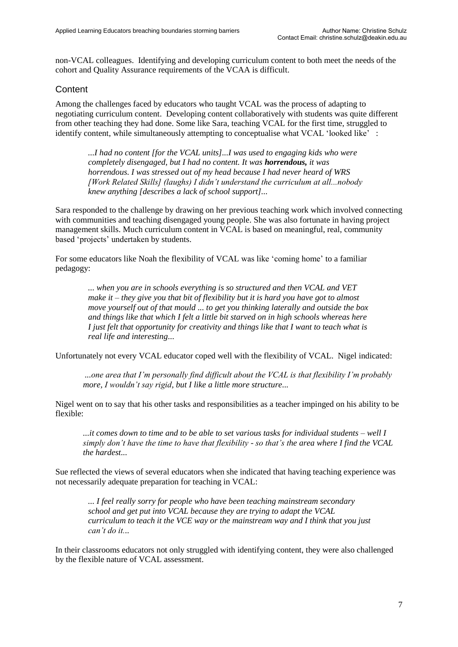non-VCAL colleagues. Identifying and developing curriculum content to both meet the needs of the cohort and Quality Assurance requirements of the VCAA is difficult.

#### **Content**

Among the challenges faced by educators who taught VCAL was the process of adapting to negotiating curriculum content. Developing content collaboratively with students was quite different from other teaching they had done. Some like Sara, teaching VCAL for the first time, struggled to identify content, while simultaneously attempting to conceptualise what VCAL 'looked like' :

*...I had no content [for the VCAL units]...I was used to engaging kids who were completely disengaged, but I had no content. It was horrendous, it was horrendous. I was stressed out of my head because I had never heard of WRS [Work Related Skills] (laughs) I didn't understand the curriculum at all...nobody knew anything [describes a lack of school support]...* 

Sara responded to the challenge by drawing on her previous teaching work which involved connecting with communities and teaching disengaged young people. She was also fortunate in having project management skills. Much curriculum content in VCAL is based on meaningful, real, community based 'projects' undertaken by students.

For some educators like Noah the flexibility of VCAL was like 'coming home' to a familiar pedagogy:

> *... when you are in schools everything is so structured and then VCAL and VET make it – they give you that bit of flexibility but it is hard you have got to almost move yourself out of that mould ... to get you thinking laterally and outside the box and things like that which I felt a little bit starved on in high schools whereas here I just felt that opportunity for creativity and things like that I want to teach what is real life and interesting*...

Unfortunately not every VCAL educator coped well with the flexibility of VCAL. Nigel indicated:

*...one area that I'm personally find difficult about the VCAL is that flexibility I'm probably more, I wouldn't say rigid, but I like a little more structure...* 

Nigel went on to say that his other tasks and responsibilities as a teacher impinged on his ability to be flexible:

*...it comes down to time and to be able to set various tasks for individual students – well I simply don't have the time to have that flexibility - so that's the area where I find the VCAL the hardest...* 

Sue reflected the views of several educators when she indicated that having teaching experience was not necessarily adequate preparation for teaching in VCAL:

*... I feel really sorry for people who have been teaching mainstream secondary school and get put into VCAL because they are trying to adapt the VCAL curriculum to teach it the VCE way or the mainstream way and I think that you just can't do it...* 

In their classrooms educators not only struggled with identifying content, they were also challenged by the flexible nature of VCAL assessment.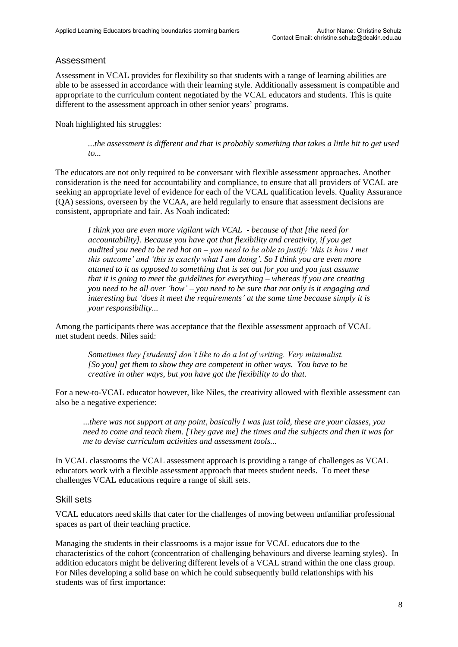## Assessment

Assessment in VCAL provides for flexibility so that students with a range of learning abilities are able to be assessed in accordance with their learning style. Additionally assessment is compatible and appropriate to the curriculum content negotiated by the VCAL educators and students. This is quite different to the assessment approach in other senior years' programs.

Noah highlighted his struggles:

*...the assessment is different and that is probably something that takes a little bit to get used to...* 

The educators are not only required to be conversant with flexible assessment approaches. Another consideration is the need for accountability and compliance, to ensure that all providers of VCAL are seeking an appropriate level of evidence for each of the VCAL qualification levels. Quality Assurance (QA) sessions, overseen by the VCAA, are held regularly to ensure that assessment decisions are consistent, appropriate and fair. As Noah indicated:

*I think you are even more vigilant with VCAL - because of that [the need for accountability]. Because you have got that flexibility and creativity, if you get audited you need to be red hot on – you need to be able to justify 'this is how I met this outcome' and 'this is exactly what I am doing'. So I think you are even more attuned to it as opposed to something that is set out for you and you just assume that it is going to meet the guidelines for everything – whereas if you are creating you need to be all over 'how' – you need to be sure that not only is it engaging and interesting but 'does it meet the requirements' at the same time because simply it is your responsibility...* 

Among the participants there was acceptance that the flexible assessment approach of VCAL met student needs. Niles said:

> *Sometimes they [students] don't like to do a lot of writing. Very minimalist. [So you] get them to show they are competent in other ways. You have to be creative in other ways, but you have got the flexibility to do that.*

For a new-to-VCAL educator however, like Niles, the creativity allowed with flexible assessment can also be a negative experience:

...*there was not support at any point, basically I was just told, these are your classes, you need to come and teach them. [They gave me] the times and the subjects and then it was for me to devise curriculum activities and assessment tools...* 

In VCAL classrooms the VCAL assessment approach is providing a range of challenges as VCAL educators work with a flexible assessment approach that meets student needs. To meet these challenges VCAL educations require a range of skill sets.

#### Skill sets

VCAL educators need skills that cater for the challenges of moving between unfamiliar professional spaces as part of their teaching practice.

Managing the students in their classrooms is a major issue for VCAL educators due to the characteristics of the cohort (concentration of challenging behaviours and diverse learning styles). In addition educators might be delivering different levels of a VCAL strand within the one class group. For Niles developing a solid base on which he could subsequently build relationships with his students was of first importance: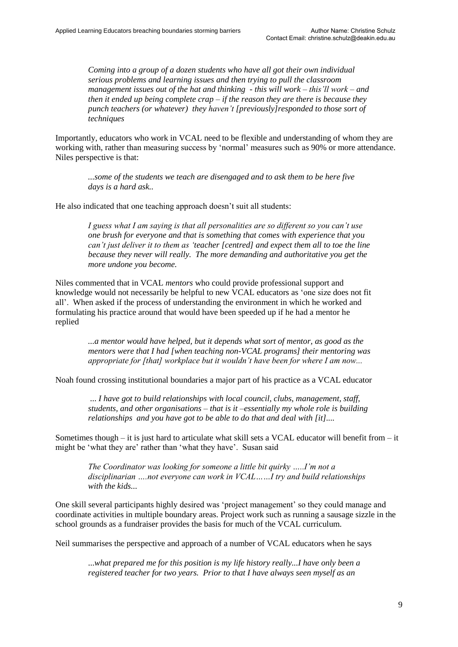*Coming into a group of a dozen students who have all got their own individual serious problems and learning issues and then trying to pull the classroom management issues out of the hat and thinking - this will work – this'll work – and then it ended up being complete crap – if the reason they are there is because they punch teachers (or whatever) they haven't [previously]responded to those sort of techniques* 

Importantly, educators who work in VCAL need to be flexible and understanding of whom they are working with, rather than measuring success by 'normal' measures such as 90% or more attendance. Niles perspective is that:

*...some of the students we teach are disengaged and to ask them to be here five days is a hard ask..* 

He also indicated that one teaching approach doesn't suit all students:

*I guess what I am saying is that all personalities are so different so you can't use one brush for everyone and that is something that comes with experience that you can't just deliver it to them as 'teacher [centred] and expect them all to toe the line because they never will really. The more demanding and authoritative you get the more undone you become.* 

Niles commented that in VCAL *mentors* who could provide professional support and knowledge would not necessarily be helpful to new VCAL educators as 'one size does not fit all'. When asked if the process of understanding the environment in which he worked and formulating his practice around that would have been speeded up if he had a mentor he replied

> *...a mentor would have helped, but it depends what sort of mentor, as good as the mentors were that I had [when teaching non-VCAL programs] their mentoring was appropriate for [that] workplace but it wouldn't have been for where I am now...*

Noah found crossing institutional boundaries a major part of his practice as a VCAL educator

... *I have got to build relationships with local council, clubs, management, staff, students, and other organisations – that is it –essentially my whole role is building relationships and you have got to be able to do that and deal with [it]....* 

Sometimes though – it is just hard to articulate what skill sets a VCAL educator will benefit from  $-$  it might be 'what they are' rather than 'what they have'. Susan said

*The Coordinator was looking for someone a little bit quirky …..I'm not a disciplinarian ….not everyone can work in VCAL……I try and build relationships with the kids...* 

One skill several participants highly desired was 'project management' so they could manage and coordinate activities in multiple boundary areas. Project work such as running a sausage sizzle in the school grounds as a fundraiser provides the basis for much of the VCAL curriculum.

Neil summarises the perspective and approach of a number of VCAL educators when he says

...*what prepared me for this position is my life history really...I have only been a registered teacher for two years. Prior to that I have always seen myself as an*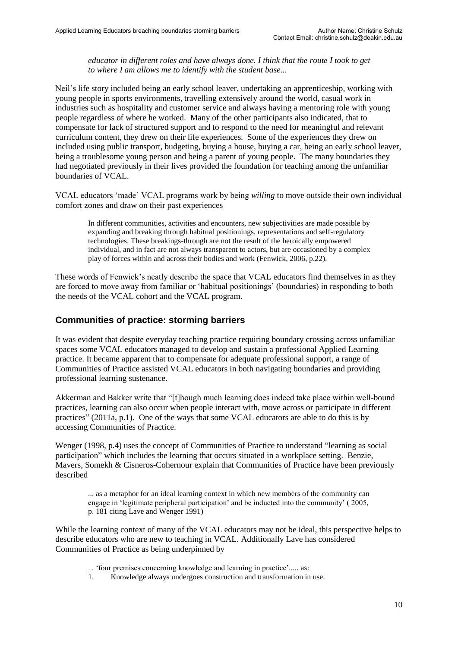*educator in different roles and have always done. I think that the route I took to get to where I am allows me to identify with the student base...*

Neil's life story included being an early school leaver, undertaking an apprenticeship, working with young people in sports environments*,* travelling extensively around the world, casual work in industries such as hospitality and customer service and always having a mentoring role with young people regardless of where he worked. Many of the other participants also indicated, that to compensate for lack of structured support and to respond to the need for meaningful and relevant curriculum content, they drew on their life experiences. Some of the experiences they drew on included using public transport, budgeting, buying a house, buying a car, being an early school leaver, being a troublesome young person and being a parent of young people. The many boundaries they had negotiated previously in their lives provided the foundation for teaching among the unfamiliar boundaries of VCAL.

VCAL educators 'made' VCAL programs work by being *willing* to move outside their own individual comfort zones and draw on their past experiences

In different communities, activities and encounters, new subjectivities are made possible by expanding and breaking through habitual positionings, representations and self-regulatory technologies. These breakings-through are not the result of the heroically empowered individual, and in fact are not always transparent to actors, but are occasioned by a complex play of forces within and across their bodies and work (Fenwick, 2006, p.22).

These words of Fenwick's neatly describe the space that VCAL educators find themselves in as they are forced to move away from familiar or 'habitual positionings' (boundaries) in responding to both the needs of the VCAL cohort and the VCAL program.

#### **Communities of practice: storming barriers**

It was evident that despite everyday teaching practice requiring boundary crossing across unfamiliar spaces some VCAL educators managed to develop and sustain a professional Applied Learning practice. It became apparent that to compensate for adequate professional support, a range of Communities of Practice assisted VCAL educators in both navigating boundaries and providing professional learning sustenance.

Akkerman and Bakker write that "[t]hough much learning does indeed take place within well-bound practices, learning can also occur when people interact with, move across or participate in different practices" (2011a, p.1). One of the ways that some VCAL educators are able to do this is by accessing Communities of Practice.

Wenger (1998, p.4) uses the concept of Communities of Practice to understand "learning as social participation" which includes the learning that occurs situated in a workplace setting. Benzie, Mavers, Somekh & Cisneros-Cohernour explain that Communities of Practice have been previously described

... as a metaphor for an ideal learning context in which new members of the community can engage in 'legitimate peripheral participation' and be inducted into the community' ( 2005, p. 181 citing Lave and Wenger 1991)

While the learning context of many of the VCAL educators may not be ideal, this perspective helps to describe educators who are new to teaching in VCAL. Additionally Lave has considered Communities of Practice as being underpinned by

... 'four premises concerning knowledge and learning in practice'..... as:

1. Knowledge always undergoes construction and transformation in use.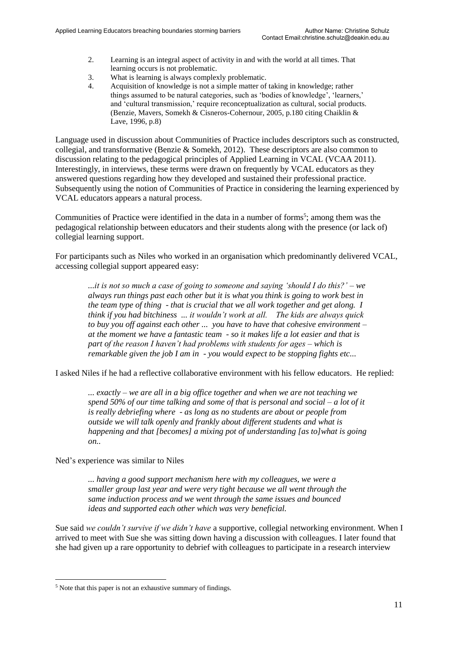- 2. Learning is an integral aspect of activity in and with the world at all times. That learning occurs is not problematic.
- 3. What is learning is always complexly problematic.
- 4. Acquisition of knowledge is not a simple matter of taking in knowledge; rather things assumed to be natural categories, such as 'bodies of knowledge', 'learners,' and 'cultural transmission,' require reconceptualization as cultural, social products. (Benzie, Mavers, Somekh & Cisneros-Cohernour, 2005, p.180 citing Chaiklin & Lave, 1996, p.8)

Language used in discussion about Communities of Practice includes descriptors such as constructed, collegial, and transformative (Benzie & Somekh, 2012). These descriptors are also common to discussion relating to the pedagogical principles of Applied Learning in VCAL (VCAA 2011). Interestingly, in interviews, these terms were drawn on frequently by VCAL educators as they answered questions regarding how they developed and sustained their professional practice. Subsequently using the notion of Communities of Practice in considering the learning experienced by VCAL educators appears a natural process.

Communities of Practice were identified in the data in a number of forms<sup>5</sup>; among them was the pedagogical relationship between educators and their students along with the presence (or lack of) collegial learning support.

For participants such as Niles who worked in an organisation which predominantly delivered VCAL, accessing collegial support appeared easy:

*...it is not so much a case of going to someone and saying 'should I do this?' – we always run things past each other but it is what you think is going to work best in the team type of thing - that is crucial that we all work together and get along. I think if you had bitchiness ... it wouldn't work at all. The kids are always quick to buy you off against each other ... you have to have that cohesive environment – at the moment we have a fantastic team - so it makes life a lot easier and that is part of the reason I haven't had problems with students for ages – which is remarkable given the job I am in - you would expect to be stopping fights etc...* 

I asked Niles if he had a reflective collaborative environment with his fellow educators. He replied:

*... exactly – we are all in a big office together and when we are not teaching we spend 50% of our time talking and some of that is personal and social – a lot of it is really debriefing where - as long as no students are about or people from outside we will talk openly and frankly about different students and what is happening and that [becomes] a mixing pot of understanding [as to]what is going on..* 

Ned's experience was similar to Niles

*... having a good support mechanism here with my colleagues, we were a smaller group last year and were very tight because we all went through the same induction process and we went through the same issues and bounced ideas and supported each other which was very beneficial.* 

Sue said *we couldn't survive if we didn't have* a supportive, collegial networking environment*.* When I arrived to meet with Sue she was sitting down having a discussion with colleagues. I later found that she had given up a rare opportunity to debrief with colleagues to participate in a research interview

<sup>5</sup> Note that this paper is not an exhaustive summary of findings.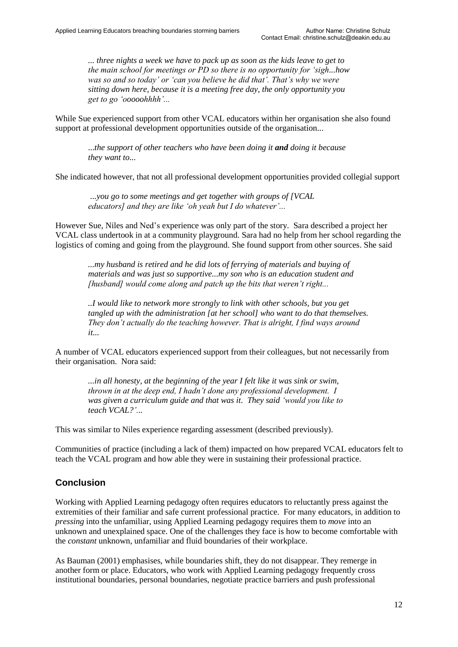*... three nights a week we have to pack up as soon as the kids leave to get to the main school for meetings or PD so there is no opportunity for 'sigh...how was so and so today' or 'can you believe he did that'. That's why we were sitting down here, because it is a meeting free day, the only opportunity you get to go 'ooooohhhh'...*

While Sue experienced support from other VCAL educators within her organisation she also found support at professional development opportunities outside of the organisation...

...*the support of other teachers who have been doing it and doing it because they want to...* 

She indicated however, that not all professional development opportunities provided collegial support

*...you go to some meetings and get together with groups of [VCAL educators] and they are like 'oh yeah but I do whatever'...* 

However Sue, Niles and Ned's experience was only part of the story. Sara described a project her VCAL class undertook in at a community playground. Sara had no help from her school regarding the logistics of coming and going from the playground. She found support from other sources. She said

*...my husband is retired and he did lots of ferrying of materials and buying of materials and was just so supportive...my son who is an education student and [husband] would come along and patch up the bits that weren't right...*

*..I would like to network more strongly to link with other schools, but you get tangled up with the administration [at her school] who want to do that themselves. They don't actually do the teaching however. That is alright, I find ways around it...* 

A number of VCAL educators experienced support from their colleagues, but not necessarily from their organisation. Nora said:

*...in all honesty, at the beginning of the year I felt like it was sink or swim, thrown in at the deep end, I hadn't done any professional development. I was given a curriculum guide and that was it. They said 'would you like to teach VCAL?'...* 

This was similar to Niles experience regarding assessment (described previously).

Communities of practice (including a lack of them) impacted on how prepared VCAL educators felt to teach the VCAL program and how able they were in sustaining their professional practice.

#### **Conclusion**

Working with Applied Learning pedagogy often requires educators to reluctantly press against the extremities of their familiar and safe current professional practice. For many educators, in addition to *pressing* into the unfamiliar, using Applied Learning pedagogy requires them to *move* into an unknown and unexplained space. One of the challenges they face is how to become comfortable with the *constant* unknown, unfamiliar and fluid boundaries of their workplace.

As Bauman (2001) emphasises, while boundaries shift, they do not disappear. They remerge in another form or place. Educators, who work with Applied Learning pedagogy frequently cross institutional boundaries, personal boundaries, negotiate practice barriers and push professional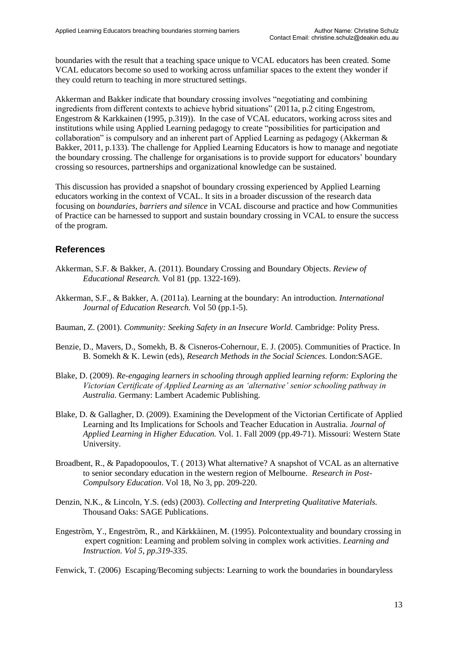boundaries with the result that a teaching space unique to VCAL educators has been created. Some VCAL educators become so used to working across unfamiliar spaces to the extent they wonder if they could return to teaching in more structured settings.

Akkerman and Bakker indicate that boundary crossing involves "negotiating and combining ingredients from different contexts to achieve hybrid situations" (2011a, p.2 citing Engestrom, Engestrom & Karkkainen (1995, p.319)). In the case of VCAL educators, working across sites and institutions while using Applied Learning pedagogy to create "possibilities for participation and collaboration" is compulsory and an inherent part of Applied Learning as pedagogy (Akkerman & Bakker, 2011, p.133). The challenge for Applied Learning Educators is how to manage and negotiate the boundary crossing. The challenge for organisations is to provide support for educators' boundary crossing so resources, partnerships and organizational knowledge can be sustained.

This discussion has provided a snapshot of boundary crossing experienced by Applied Learning educators working in the context of VCAL. It sits in a broader discussion of the research data focusing on *boundaries, barriers and silence* in VCAL discourse and practice and how Communities of Practice can be harnessed to support and sustain boundary crossing in VCAL to ensure the success of the program.

#### **References**

- Akkerman, S.F. & Bakker, A. (2011). Boundary Crossing and Boundary Objects. *Review of Educational Research.* Vol 81 (pp. 1322-169).
- Akkerman, S.F., & Bakker, A. (2011a). Learning at the boundary: An introduction*. International Journal of Education Research.* Vol 50 (pp.1-5).
- Bauman, Z. (2001). *Community: Seeking Safety in an Insecure World.* Cambridge: Polity Press.
- Benzie, D., Mavers, D., Somekh, B. & Cisneros-Cohernour, E. J. (2005). Communities of Practice. In B. Somekh & K. Lewin (eds), *Research Methods in the Social Sciences.* London:SAGE.
- Blake, D. (2009). *Re-engaging learners in schooling through applied learning reform: Exploring the Victorian Certificate of Applied Learning as an 'alternative' senior schooling pathway in Australia.* Germany: Lambert Academic Publishing.
- Blake, D. & Gallagher, D. (2009). Examining the Development of the Victorian Certificate of Applied Learning and Its Implications for Schools and Teacher Education in Australia. *Journal of Applied Learning in Higher Education.* Vol. 1. Fall 2009 (pp.49-71). Missouri: Western State University.
- Broadbent, R., & Papadopooulos, T. ( 2013) What alternative? A snapshot of VCAL as an alternative to senior secondary education in the western region of Melbourne. *Research in Post-Compulsory Education*. Vol 18, No 3, pp. 209-220.
- Denzin, N.K., & Lincoln, Y.S. (eds) (2003). *Collecting and Interpreting Qualitative Materials.* Thousand Oaks: SAGE Publications.
- Engeström, Y., Engeström, R., and Kärkkäinen, M. (1995). Polcontextuality and boundary crossing in expert cognition: Learning and problem solving in complex work activities. *Learning and Instruction. Vol 5, pp.319-335.*

Fenwick, T. (2006) Escaping/Becoming subjects: Learning to work the boundaries in boundaryless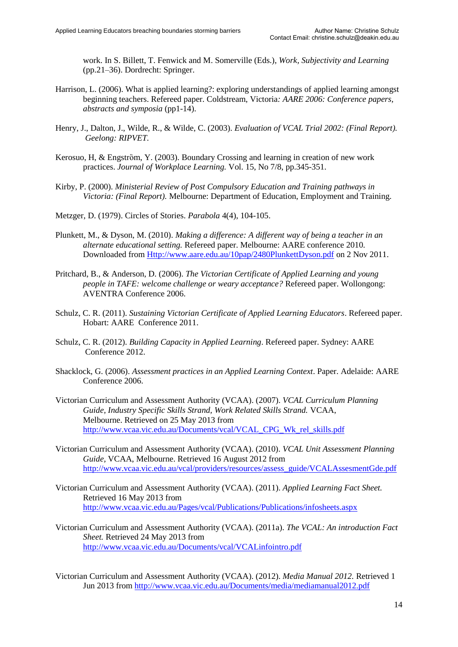work. In S. Billett, T. Fenwick and M. Somerville (Eds.), *Work, Subjectivity and Learning* (pp.21–36). Dordrecht: Springer.

- Harrison, L. (2006). What is applied learning?: exploring understandings of applied learning amongst beginning teachers. Refereed paper. Coldstream, Victoria*: AARE 2006: Conference papers, abstracts and symposia* (pp1-14).
- Henry, J., Dalton, J., Wilde, R., & Wilde, C. (2003). *Evaluation of VCAL Trial 2002: (Final Report). Geelong: RIPVET.*
- Kerosuo, H, & Engström, Y. (2003). Boundary Crossing and learning in creation of new work practices. *Journal of Workplace Learning.* Vol. 15, No 7/8, pp.345-351.
- Kirby, P. (2000). *Ministerial Review of Post Compulsory Education and Training pathways in Victoria: (Final Report).* Melbourne: Department of Education, Employment and Training.
- Metzger, D. (1979). Circles of Stories. *Parabola* 4(4), 104-105.
- Plunkett, M., & Dyson, M. (2010). *Making a difference: A different way of being a teacher in an alternate educational setting.* Refereed paper. Melbourne: AARE conference 2010. Downloaded from [Http://www.aare.edu.au/10pap/2480PlunkettDyson.pdf](http://www.aare.edu.au/10pap/2480PlunkettDyson.pdf) on 2 Nov 2011.
- Pritchard, B., & Anderson, D. (2006). *The Victorian Certificate of Applied Learning and young people in TAFE: welcome challenge or weary acceptance?* Refereed paper. Wollongong: AVENTRA Conference 2006.
- Schulz, C. R. (2011). *Sustaining Victorian Certificate of Applied Learning Educators*. Refereed paper. Hobart: AARE Conference 2011.
- Schulz, C. R. (2012). *Building Capacity in Applied Learning*. Refereed paper. Sydney: AARE Conference 2012.
- Shacklock, G. (2006). *Assessment practices in an Applied Learning Context*. Paper. Adelaide: AARE Conference 2006.
- Victorian Curriculum and Assessment Authority (VCAA). (2007). *VCAL Curriculum Planning Guide, Industry Specific Skills Strand, Work Related Skills Strand.* VCAA, Melbourne. Retrieved on 25 May 2013 from [http://www.vcaa.vic.edu.au/Documents/vcal/VCAL\\_CPG\\_Wk\\_rel\\_skills.pdf](http://www.vcaa.vic.edu.au/Documents/vcal/VCAL_CPG_Wk_rel_skills.pdf)
- Victorian Curriculum and Assessment Authority (VCAA). (2010). *VCAL Unit Assessment Planning Guide,* VCAA, Melbourne. Retrieved 16 August 2012 from [http://www.vcaa.vic.edu.au/vcal/providers/resources/assess\\_guide/VCALAssesmentGde.pdf](http://www.vcaa.vic.edu.au/vcal/providers/resources/assess_guide/VCALAssesmentGde.pdf)
- Victorian Curriculum and Assessment Authority (VCAA). (2011). *Applied Learning Fact Sheet.*  Retrieved 16 May 2013 from <http://www.vcaa.vic.edu.au/Pages/vcal/Publications/Publications/infosheets.aspx>
- Victorian Curriculum and Assessment Authority (VCAA). (2011a). *The VCAL: An introduction Fact Sheet.* Retrieved 24 May 2013 from <http://www.vcaa.vic.edu.au/Documents/vcal/VCALinfointro.pdf>
- Victorian Curriculum and Assessment Authority (VCAA). (2012). *Media Manual 2012.* Retrieved 1 Jun 2013 from<http://www.vcaa.vic.edu.au/Documents/media/mediamanual2012.pdf>